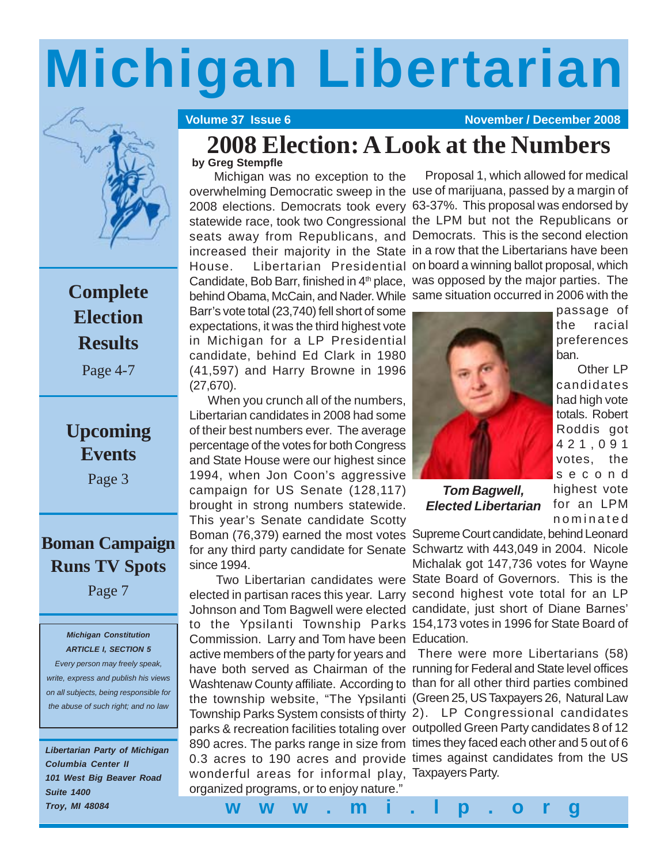# **Michigan Libertarian**



## **Complete Election Results**

Page 4-7

## **Upcoming Events**

Page 3

### **Boman Campaign Runs TV Spots**

Page 7

#### *Michigan Constitution ARTICLE I, SECTION 5*

*Every person may freely speak, write, express and publish his views on all subjects, being responsible for the abuse of such right; and no law*

*Libertarian Party of Michigan Columbia Center II 101 West Big Beaver Road Suite 1400 Troy, MI 48084*

**Volume 37 Issue 6 November / December 2008** 

Proposal 1, which allowed for medical

## **2008 Election: A Look at the Numbers**

#### **by Greg Stempfle**

 Michigan was no exception to the overwhelming Democratic sweep in the use of marijuana, passed by a margin of 2008 elections. Democrats took every 63-37%. This proposal was endorsed by statewide race, took two Congressional the LPM but not the Republicans or seats away from Republicans, and Democrats. This is the second election increased their majority in the State in a row that the Libertarians have been House. Libertarian Presidential on board a winning ballot proposal, which Candidate, Bob Barr, finished in  $4<sup>th</sup>$  place, was opposed by the major parties. The behind Obama, McCain, and Nader. While same situation occurred in 2006 with the

Barr's vote total (23,740) fell short of some expectations, it was the third highest vote in Michigan for a LP Presidential candidate, behind Ed Clark in 1980 (41,597) and Harry Browne in 1996 (27,670).

 When you crunch all of the numbers, Libertarian candidates in 2008 had some of their best numbers ever. The average percentage of the votes for both Congress and State House were our highest since 1994, when Jon Coon's aggressive campaign for US Senate (128,117) brought in strong numbers statewide. This year's Senate candidate Scotty Boman (76,379) earned the most votes Supreme Court candidate, behind Leonard for any third party candidate for Senate Schwartz with 443,049 in 2004. Nicole since 1994.

 Two Libertarian candidates were State Board of Governors. This is the elected in partisan races this year. Larry second highest vote total for an LP Johnson and Tom Bagwell were elected candidate, just short of Diane Barnes' to the Ypsilanti Township Parks 154,173 votes in 1996 for State Board of Commission. Larry and Tom have been Education. active members of the party for years and There were more Libertarians (58) have both served as Chairman of the running for Federal and State level offices Washtenaw County affiliate. According to than for all other third parties combined the township website, "The Ypsilanti (Green 25, US Taxpayers 26, Natural Law Township Parks System consists of thirty 2). LP Congressional candidates parks & recreation facilities totaling over outpolled Green Party candidates 8 of 12 890 acres. The parks range in size from times they faced each other and 5 out of 6 0.3 acres to 190 acres and provide times against candidates from the US wonderful areas for informal play, Taxpayers Party. organized programs, or to enjoy nature."



*Tom Bagwell, Elected Libertarian* passage of the racial preferences ban.

 Other LP candidates had high vote totals. Robert Roddis got 421,091 votes, the second highest vote for an LPM nominated

Michalak got 147,736 votes for Wayne

**www.mi.lp.org**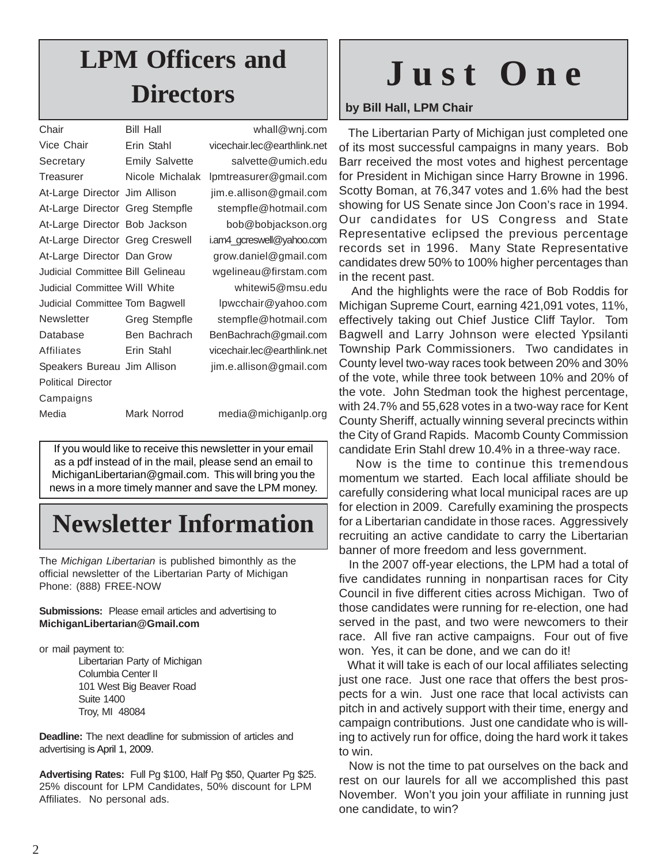# **LPM Officers and**

| <b>Bill Hall</b>                     |
|--------------------------------------|
| Erin Stahl                           |
| <b>Emily Salvette</b>                |
| Nicole Michalak                      |
| At-Large Director Jim Allison        |
| At-Large Director Greg Stempfle      |
| At-Large Director Bob Jackson        |
| At-Large Director Greg Creswell      |
| At-Large Director Dan Grow           |
| Judicial Committee Bill Gelineau     |
| <b>Judicial Committee Will White</b> |
| Judicial Committee Tom Bagwell       |
| Greg Stempfle                        |
| Ben Bachrach                         |
| Erin Stahl                           |
| Speakers Bureau Jim Allison          |
|                                      |
|                                      |
| Mark Norrod                          |
|                                      |

whall@wnj.com vicechair.lec@earthlink.net salvette@umich.edu lpmtreasurer@gmail.com jim.e.allison@gmail.com stempfle@hotmail.com bob@bobjackson.org i.am4\_gcreswell@yahoo.com grow.daniel@gmail.com wgelineau@firstam.com

whitewi5@msu.edu lpwcchair@yahoo.com stempfle@hotmail.com BenBachrach@gmail.com vicechair.lec@earthlink.net jim.e.allison@gmail.com

media@michiganlp.org

If you would like to receive this newsletter in your email as a pdf instead of in the mail, please send an email to MichiganLibertarian@gmail.com. This will bring you the news in a more timely manner and save the LPM money.

## **Newsletter Information**

The *Michigan Libertarian* is published bimonthly as the official newsletter of the Libertarian Party of Michigan Phone: (888) FREE-NOW

#### **Submissions:** Please email articles and advertising to **MichiganLibertarian@Gmail.com**

or mail payment to:

Libertarian Party of Michigan Columbia Center II 101 West Big Beaver Road Suite 1400 Troy, MI 48084

**Deadline:** The next deadline for submission of articles and advertising is April 1, 2009.

**Advertising Rates:** Full Pg \$100, Half Pg \$50, Quarter Pg \$25. 25% discount for LPM Candidates, 50% discount for LPM Affiliates. No personal ads.

## **Directors Just One**

**by Bill Hall, LPM Chair**

 The Libertarian Party of Michigan just completed one of its most successful campaigns in many years. Bob Barr received the most votes and highest percentage for President in Michigan since Harry Browne in 1996. Scotty Boman, at 76,347 votes and 1.6% had the best showing for US Senate since Jon Coon's race in 1994. Our candidates for US Congress and State Representative eclipsed the previous percentage records set in 1996. Many State Representative candidates drew 50% to 100% higher percentages than in the recent past.

 And the highlights were the race of Bob Roddis for Michigan Supreme Court, earning 421,091 votes, 11%, effectively taking out Chief Justice Cliff Taylor. Tom Bagwell and Larry Johnson were elected Ypsilanti Township Park Commissioners. Two candidates in County level two-way races took between 20% and 30% of the vote, while three took between 10% and 20% of the vote. John Stedman took the highest percentage, with 24.7% and 55,628 votes in a two-way race for Kent County Sheriff, actually winning several precincts within the City of Grand Rapids. Macomb County Commission candidate Erin Stahl drew 10.4% in a three-way race.

 Now is the time to continue this tremendous momentum we started. Each local affiliate should be carefully considering what local municipal races are up for election in 2009. Carefully examining the prospects for a Libertarian candidate in those races. Aggressively recruiting an active candidate to carry the Libertarian banner of more freedom and less government.

 In the 2007 off-year elections, the LPM had a total of five candidates running in nonpartisan races for City Council in five different cities across Michigan. Two of those candidates were running for re-election, one had served in the past, and two were newcomers to their race. All five ran active campaigns. Four out of five won. Yes, it can be done, and we can do it!

 What it will take is each of our local affiliates selecting just one race. Just one race that offers the best prospects for a win. Just one race that local activists can pitch in and actively support with their time, energy and campaign contributions. Just one candidate who is willing to actively run for office, doing the hard work it takes to win.

 Now is not the time to pat ourselves on the back and rest on our laurels for all we accomplished this past November. Won't you join your affiliate in running just one candidate, to win?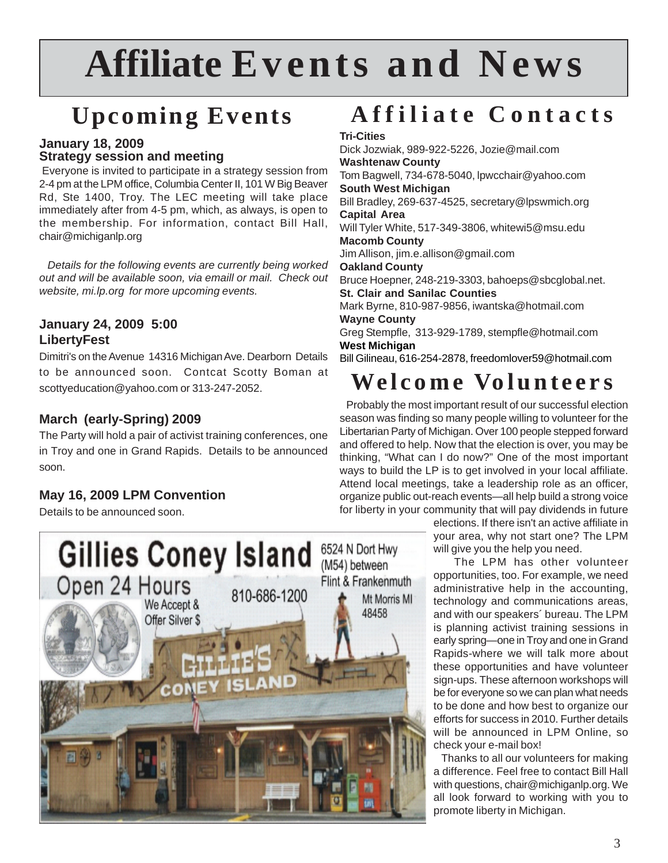## **Affiliate Events and News**

## **Upcoming Events**

#### **January 18, 2009 Strategy session and meeting**

 Everyone is invited to participate in a strategy session from 2-4 pm at the LPM office, Columbia Center II, 101 W Big Beaver Rd, Ste 1400, Troy. The LEC meeting will take place immediately after from 4-5 pm, which, as always, is open to the membership. For information, contact Bill Hall, chair@michiganlp.org

 *Details for the following events are currently being worked out and will be available soon, via emaill or mail. Check out website, mi.lp.org for more upcoming events.*

#### **January 24, 2009 5:00 LibertyFest**

Dimitri's on the Avenue 14316 Michigan Ave. Dearborn Details to be announced soon. Contcat Scotty Boman at scottyeducation@yahoo.com or 313-247-2052.

#### **March (early-Spring) 2009**

The Party will hold a pair of activist training conferences, one in Troy and one in Grand Rapids. Details to be announced soon.

#### **May 16, 2009 LPM Convention**

Details to be announced soon.

## **Affiliate Contacts**

#### **Tri-Cities**

Dick Jozwiak, 989-922-5226, Jozie@mail.com **Washtenaw County** Tom Bagwell, 734-678-5040, lpwcchair@yahoo.com **South West Michigan** Bill Bradley, 269-637-4525, secretary@lpswmich.org **Capital Area** Will Tyler White, 517-349-3806, whitewi5@msu.edu **Macomb County** Jim Allison, jim.e.allison@gmail.com **Oakland County** Bruce Hoepner, 248-219-3303, bahoeps@sbcglobal.net. **St. Clair and Sanilac Counties** Mark Byrne, 810-987-9856, iwantska@hotmail.com **Wayne County** Greg Stempfle, 313-929-1789, stempfle@hotmail.com **West Michigan**

Bill Gilineau, 616-254-2878, freedomlover59@hotmail.com

## **Welcome Volunteers**

 Probably the most important result of our successful election season was finding so many people willing to volunteer for the Libertarian Party of Michigan. Over 100 people stepped forward and offered to help. Now that the election is over, you may be thinking, "What can I do now?" One of the most important ways to build the LP is to get involved in your local affiliate. Attend local meetings, take a leadership role as an officer, organize public out-reach events—all help build a strong voice for liberty in your community that will pay dividends in future

> elections. If there isn't an active affiliate in your area, why not start one? The LPM will give you the help you need.

> The LPM has other volunteer opportunities, too. For example, we need administrative help in the accounting, technology and communications areas, and with our speakers´ bureau. The LPM is planning activist training sessions in early spring—one in Troy and one in Grand Rapids-where we will talk more about these opportunities and have volunteer sign-ups. These afternoon workshops will be for everyone so we can plan what needs to be done and how best to organize our efforts for success in 2010. Further details will be announced in LPM Online, so check your e-mail box!

> Thanks to all our volunteers for making a difference. Feel free to contact Bill Hall with questions, chair@michiganlp.org. We all look forward to working with you to promote liberty in Michigan.

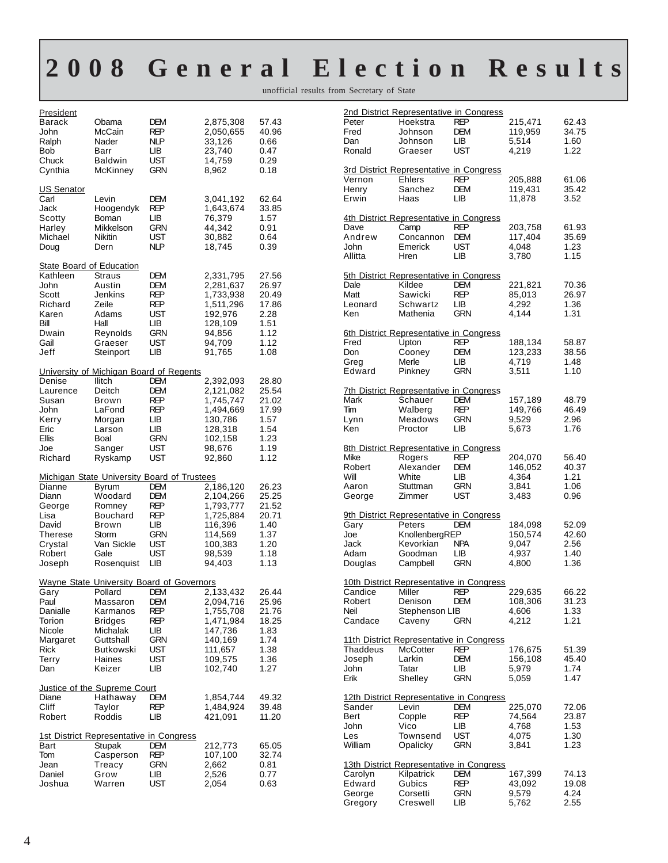## **2008 General Election Results**

unofficial results from Secretary of State

| President<br>Barack<br>John<br>Ralph<br>Bob<br>Chuck<br>Cynthia                                                   | Obama<br>McCain<br>Nader<br>Barr<br>Baldwin<br>McKinney                                                                                               | DEM<br>REP<br>NLP<br>LIB.<br>UST<br>GRN                             | 2,875,308<br>2,050,655<br>33,126<br>23,740<br>14,759<br>8,962                                           | 57.43<br>40.96<br>0.66<br>0.47<br>0.29<br>0.18                           |
|-------------------------------------------------------------------------------------------------------------------|-------------------------------------------------------------------------------------------------------------------------------------------------------|---------------------------------------------------------------------|---------------------------------------------------------------------------------------------------------|--------------------------------------------------------------------------|
| US Senator<br>Carl<br>Jack<br>Scotty<br>Harley<br>Michael<br>Doug                                                 | Levin<br>Hoogendyk<br>Boman<br>Mikkelson<br>Nikitin<br>Dern                                                                                           | DEM<br><b>REP</b><br>LІВ<br><b>GRN</b><br>UST<br>NLP                | 3,041,192<br>1,643,674<br>76,379<br>44,342<br>30,882<br>18,745                                          | 62.64<br>33.85<br>1.57<br>0.91<br>0.64<br>0.39                           |
| <b>State Board of Education</b><br>Kathleen<br>John<br>Scott<br>Richard<br>Karen<br>Bill<br>Dwain<br>Gail<br>Jeff | Straus<br>Austin<br>Jenkins<br>Zeile<br>Adams<br>Hall<br>Reynolds<br>Graeser<br>Steinport                                                             | DEM<br>DEM<br>REP<br>REP<br>UST<br>LІВ<br><b>GRN</b><br>UST<br>LІВ  | 2,331,795<br>2,281,637<br>1,733,938<br>1,511,296<br>192,976<br>128,109<br>94,856<br>94,709<br>91,765    | 27.56<br>26.97<br>20.49<br>17.86<br>2.28<br>1.51<br>1.12<br>1.12<br>1.08 |
| Denise<br>Laurence<br>Susan<br>John<br>Kerry<br>Eric<br>Ellis<br>Joe<br>Richard                                   | University of Michigan Board of Regents<br>Ilitch<br>Deitch<br>Brown<br>LaFond<br>Morgan<br>Larson<br>Boal<br>Sanger<br>Ryskamp                       | DEM<br>DEM<br>REP<br>REP<br>LIB.<br>LІВ<br><b>GRN</b><br>UST<br>UST | 2,392,093<br>2,121,082<br>1,745,747<br>1,494,669<br>130,786<br>128,318<br>102,158<br>98,676<br>92,860   | 28.80<br>25.54<br>21.02<br>17.99<br>1.57<br>1.54<br>1.23<br>1.19<br>1.12 |
| Dianne<br>Diann<br>George<br>Lisa<br>David<br><b>Therese</b><br>Crystal<br>Robert<br>Joseph                       | <b>Michigan State University Board of Trustees</b><br>Byrum<br>Woodard<br>Romney<br>Bouchard<br>Brown<br>Storm<br>Van Sickle<br>Gale<br>Rosenquist    | DEM<br>DEM<br>REP<br>REP<br>LІВ<br>GRN<br><b>UST</b><br>UST<br>LІВ  | 2,186,120<br>2,104,266<br>1,793,777<br>1,725,884<br>116,396<br>114,569<br>100,383<br>98,539<br>94,403   | 26.23<br>25.25<br>21.52<br>20.71<br>1.40<br>1.37<br>1.20<br>1.18<br>1.13 |
| Gary<br>Paul<br>Danialle<br>Torion<br>Nicole<br>Margaret<br>Rick<br>Terry<br>Dan                                  | Wayne State University Board of Governors<br>Pollard DEM<br>Massaron<br>Karmanos<br>Bridges<br>Michalak<br>Guttshall<br>Butkowski<br>Haines<br>Keizer | DEM<br>REP<br>REP<br>LВ<br>GRN<br>UST<br>UST<br>LВ                  | 2,133,432<br>2,094,716<br>1,755,708<br>1,471,984<br>147,736<br>140,169<br>111,657<br>109,575<br>102,740 | 26.44<br>25.96<br>21.76<br>18.25<br>1.83<br>1.74<br>1.38<br>1.36<br>1.27 |
| Diane<br>Cliff<br>Robert                                                                                          | Justice of the Supreme Court<br>Hathaway<br>Taylor<br>Roddis                                                                                          | DEM<br>REP<br>LВ                                                    | 1,854,744<br>1,484,924<br>421,091                                                                       | 49.32<br>39.48<br>11.20                                                  |
| Bart<br>Tom<br>Jean<br>Daniel<br>Joshua                                                                           | <u>1st District Representative in Congress</u><br>Stupak<br>Casperson<br>Treacy<br>Grow<br>Warren                                                     | DEM<br>REP<br>GRN<br>LІВ<br>UST                                     | 212,773<br>107,100<br>2,662<br>2,526<br>2,054                                                           | 65.05<br>32.74<br>0.81<br>0.77<br>0.63                                   |

|             | <u>2nd District Representative in Congress</u> |            |                  |               |
|-------------|------------------------------------------------|------------|------------------|---------------|
| Peter       | Hoekstra                                       | REP        | 215,471          | 62.43         |
| Fred<br>Dan | Johnson<br>Johnson                             | DEM<br>LВ  | 119,959<br>5,514 | 34.75<br>1.60 |
| Ronald      | Graeser                                        | UST        | 4,219            | 1.22          |
|             |                                                |            |                  |               |
|             | 3rd District Representative in Congress        |            |                  |               |
| Vernon      | Ehlers                                         | <b>REP</b> | 205,888          | 61.06         |
| Henry       | Sanchez                                        | DEM        | 119,431          | 35.42         |
| Erwin       | Haas                                           | LВ         | 11,878           | 3.52          |
|             | 4th District Representative in Congress        |            |                  |               |
| Dave        | Camp                                           | REP        | 203,758          | 61.93         |
| Andrew      | Concannon                                      | <b>DEM</b> | 117,404          | 35.69         |
| John        | Emerick                                        | UST        | 4,048            | 1.23          |
| Allitta     | Hren                                           | LІВ        | 3.780            | 1.15          |
|             | 5th District Representative in Congress        |            |                  |               |
| Dale        | Kildee                                         | DEM        | 221,821          | 70.36         |
| Matt        | Sawicki                                        | <b>REP</b> | 85,013           | 26.97         |
| Leonard     | Schwartz                                       | LIB.       | 4,292            | 1.36          |
| Ken         | Mathenia                                       | <b>GRN</b> | 4,144            | 1.31          |
|             | <u>6th District Representative in Congress</u> |            |                  |               |
| Fred        | Upton                                          | REP        | 188,134          | 58.87         |
| Don         | Cooney                                         | DEM        | 123,233          | 38.56         |
| Greg        | Merle                                          | LВ         | 4,719            | 1.48          |
| Edward      | Pinkney                                        | <b>GRN</b> | 3,511            | 1.10          |
|             | <b>7th District Representative in Congress</b> |            |                  |               |
| Mark        | Schauer                                        | <b>DEM</b> | 157,189          | 48.79         |
| Tim         | Walberg                                        | <b>REP</b> | 149,766          | 46.49         |
| Lynn        | Meadows                                        | <b>GRN</b> | 9,529            | 2.96          |
| Ken         | Proctor                                        | LІВ        | 5,673            | 1.76          |
|             | <b>8th District Representative in Congress</b> |            |                  |               |
| Mike        | Rogers                                         | <b>REP</b> | 204,070          | 56.40         |
| Robert      | Alexander                                      | <b>DEM</b> | 146,052          | 40.37         |
| Will        | White                                          | LВ         | 4,364            | 1.21          |
| Aaron       | Stuttman                                       | <b>GRN</b> | 3,841            | 1.06          |
| George      | Zimmer                                         | UST        | 3,483            | 0.96          |
|             | 9th District Representative in Congress        |            |                  |               |
| Gary        | Peters                                         | DEM        | 184,098          | 52.09         |
| Joe         | KnollenbergREP                                 |            | 150,574          | 42.60         |
| Jack        | Kevorkian                                      | <b>NPA</b> | 9,047            | 2.56          |
| Adam        | Goodman                                        | LІВ        | 4,937            | 1.40          |
| Douglas     | Campbell                                       | <b>GRN</b> | 4,800            | 1.36          |
|             | 10th District Representative in Congress       |            |                  |               |
| Candice     | Miller                                         | REP        | 229,635          | 66.22         |
| Robert      | Denison                                        | <b>DEM</b> | 108,306          | 31.23         |
| Neil        | Stephenson LIB                                 |            | 4,606            | 1.33          |
| Candace     | Caveny                                         | <b>GRN</b> | 4,212            | 1.21          |
|             | 11th District Representative in Congress       |            |                  |               |
| Thaddeus    | McCotter                                       | REP        | 176,675          | 51.39         |
| Joseph      | Larkin                                         | DEM        | 156,108          | 45.40         |
| John        | Tatar                                          | LІВ        | 5,979            | 1.74          |
| Erik        | Shelley                                        | <b>GRN</b> | 5,059            | 1.47          |
|             | 12th District Representative in Congress       |            |                  |               |
| Sander      | Levin                                          | <b>DEM</b> | 225,070          | 72.06         |
| Bert        | Copple                                         | REP        | 74,564           | 23.87         |
| John        | Vico                                           | LІВ        | 4,768            | 1.53          |
| Les         | Townsend                                       | UST        | 4,075            | 1.30          |
| William     | Opalicky                                       | <b>GRN</b> | 3,841            | 1.23          |
|             | 13th District Representative in Congress       |            |                  |               |
| Carolyn     | Kilpatrick                                     | <b>DEM</b> | 167,399          | 74.13         |
| Edward      | Gubics                                         | <b>REP</b> | 43,092           | 19.08         |
| George      | Corsetti                                       | <b>GRN</b> | 9,579            | 4.24          |
| Gregory     | Creswell                                       | LІВ        | 5,762            | 2.55          |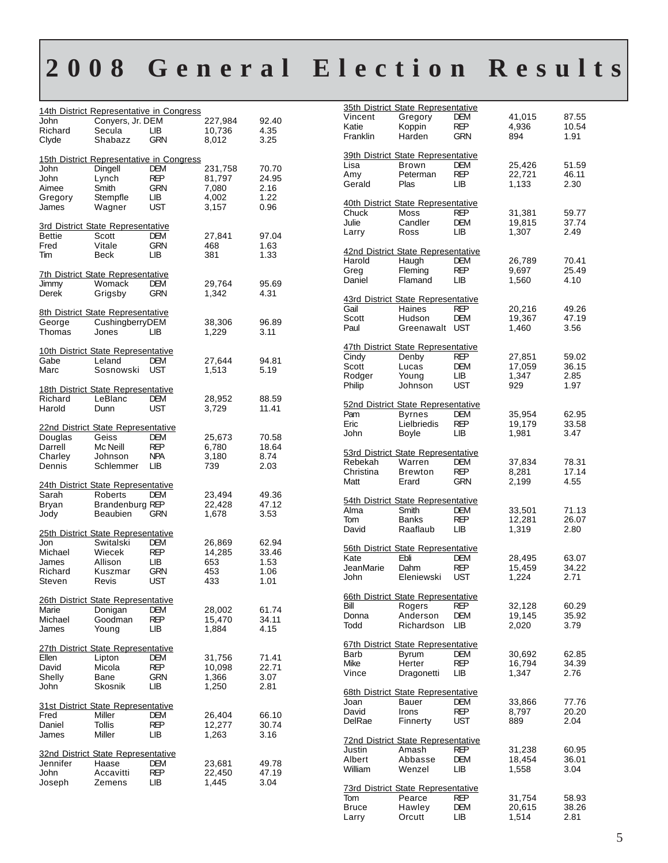## **2008 General Election Results**

| John<br>Richard           | 14th District Representative in Congress<br>Conyers, Jr. DEM<br>Secula<br>Shabazz | LВ                       | 227,984<br>10,736       | 92.40<br>4.35        |
|---------------------------|-----------------------------------------------------------------------------------|--------------------------|-------------------------|----------------------|
| Clyde                     |                                                                                   | GRN                      | 8,012                   | 3.25                 |
| John<br>John              | 15th District Representative in Congress<br>Dingell<br>Lynch                      | DEM<br><b>REP</b>        | 231,758<br>81,797       | 70.70<br>24.95       |
| Aimee<br>Gregory<br>James | Smith<br>Stempfle<br>Wagner                                                       | <b>GRN</b><br>LІВ<br>UST | 7,080<br>4,002<br>3,157 | 2.16<br>1.22<br>0.96 |
|                           | 3rd District State Representative                                                 |                          |                         |                      |
| <b>Bettie</b><br>Fred     | Scott<br>Vitale                                                                   | <b>DEM</b><br>GRN        | 27,841<br>468           | 97.04                |
| Tim                       | Beck                                                                              | LІВ                      | 381                     | 1.63<br>1.33         |
|                           |                                                                                   |                          |                         |                      |
| Jimmy                     | <b>7th District State Representative</b><br>Womack                                | <b>DEM</b>               | 29,764                  | 95.69                |
| Derek                     | Grigsby                                                                           | GRN                      | 1,342                   | 4.31                 |
|                           | 8th District State Representative                                                 |                          |                         |                      |
| George                    | CushingberryDEM                                                                   |                          | 38,306                  | 96.89                |
| Thomas                    | Jones                                                                             | l IB                     | 1.229                   | 3.11                 |
|                           | 10th District State Representative                                                |                          |                         |                      |
| Gabe                      | Leland                                                                            | DEM                      | 27,644                  | 94.81                |
| Marc                      | Sosnowski UST                                                                     |                          | 1,513                   | 5.19                 |
|                           | 18th District State Representative                                                |                          |                         |                      |
| Richard                   | LeBlanc                                                                           | <b>DFM</b>               | 28,952                  | 88.59                |
| Harold                    | Dunn                                                                              | UST                      | 3,729                   | 11.41                |
|                           | 22nd District State Representative                                                |                          |                         |                      |
| Douglas                   | Geiss                                                                             | <b>DEM</b>               | 25,673                  | 70.58                |
| Darrell<br>Charley        | Mc Neill<br>Johnson                                                               | REP<br><b>NPA</b>        | 6,780<br>3,180          | 18.64<br>8.74        |
| Dennis                    | Schlemmer                                                                         | LІВ                      | 739                     | 2.03                 |
|                           | 24th District State Representative                                                |                          |                         |                      |
| Sarah                     | Roberts                                                                           | <b>DEM</b>               | 23,494                  | 49.36                |
| Bryan                     | Brandenburg REP                                                                   |                          | 22,428                  | 47.12                |
| Jody                      | Beaubien                                                                          | GRN                      | 1,678                   | 3.53                 |
|                           | 25th District State Representative                                                |                          |                         |                      |
| Jon                       | Switalski                                                                         | <b>DEM</b>               | 26,869                  | 62.94                |
| Michael<br>James          | Wiecek<br>Allison                                                                 | <b>REP</b><br>LIB.       | 14,285<br>653           | 33.46<br>1.53        |
| Richard                   | Kuszmar                                                                           | GRN                      | 453                     | 1.06                 |
| Steven                    | Revis                                                                             | UST                      | 433                     | 1.01                 |
|                           | <b>26th District State Representative</b>                                         |                          |                         |                      |
| Marie                     | Donigan                                                                           | DEM                      | 28,002                  | 61.74                |
| Michael                   | Goodman                                                                           | REP                      | 15,470                  | 34.11                |
| James                     | Young                                                                             | LІВ                      | 1,884                   | 4.15                 |
|                           | 27th District State Representative                                                |                          |                         |                      |
| Ellen<br>David            | Lipton<br>Micola                                                                  | DEM<br>REP               | 31,756<br>10,098        | 71.41<br>22.71       |
| Shelly                    | Bane                                                                              | <b>GRN</b>               | 1,366                   | 3.07                 |
| John                      | Skosnik                                                                           | LІВ                      | 1,250                   | 2.81                 |
|                           | 31st District State Representative                                                |                          |                         |                      |
| Fred                      | Miller                                                                            | DEM                      | 26,404                  | 66.10                |
| Daniel                    | Tollis                                                                            | REP                      | 12,277                  | 30.74                |
| James                     | Miller                                                                            | LІВ                      | 1,263                   | 3.16                 |
|                           | 32nd District State Representative                                                |                          |                         |                      |
| Jennifer                  | Haase                                                                             | DEM                      | 23,681                  | 49.78                |
| John<br>Joseph            | Accavitti<br>Zemens                                                               | REP<br>LІВ               | 22,450<br>1,445         | 47.19<br>3.04        |
|                           |                                                                                   |                          |                         |                      |

|           | 35th District State Representative        |            |        |       |
|-----------|-------------------------------------------|------------|--------|-------|
| Vincent   | Gregory                                   | <b>DEM</b> | 41,015 | 87.55 |
| Katie     | Koppin                                    | <b>REP</b> | 4,936  | 10.54 |
| Franklin  | Harden                                    | GRN        | 894    | 1.91  |
|           |                                           |            |        |       |
|           | 39th District State Representative        |            |        |       |
| Lisa      | <b>Brown</b>                              | <b>DEM</b> | 25,426 | 51.59 |
|           |                                           |            |        |       |
| Amy       | Peterman                                  | REP        | 22,721 | 46.11 |
| Gerald    | Plas                                      | LІВ        | 1,133  | 2.30  |
|           |                                           |            |        |       |
|           | 40th District State Representative        |            |        |       |
| Chuck     | Moss                                      | REP        | 31,381 | 59.77 |
| Julie     | Candler                                   | <b>DEM</b> | 19,815 | 37.74 |
| Larry     | Ross                                      | LІВ        | 1,307  | 2.49  |
|           |                                           |            |        |       |
|           | 42nd District State Representative        |            |        |       |
| Harold    | Haugh                                     | <b>DEM</b> | 26,789 | 70.41 |
| Greg      | Fleming                                   | REP        | 9,697  | 25.49 |
| Daniel    | Flamand                                   | LIB.       | 1,560  | 4.10  |
|           |                                           |            |        |       |
|           | 43rd District State Representative        |            |        |       |
| Gail      | Haines                                    | <b>REP</b> | 20,216 | 49.26 |
| Scott     | Hudson                                    | <b>DEM</b> | 19,367 | 47.19 |
| Paul      | Greenawalt                                | UST        | 1,460  | 3.56  |
|           |                                           |            |        |       |
|           | 47th District State Representative        |            |        |       |
| Cindy     | Denby                                     | REP        |        | 59.02 |
|           |                                           |            | 27,851 |       |
| Scott     | Lucas                                     | <b>DEM</b> | 17,059 | 36.15 |
| Rodger    | Young                                     | LІВ        | 1,347  | 2.85  |
| Philip    | Johnson                                   | UST        | 929    | 1.97  |
|           |                                           |            |        |       |
|           | 52nd District State Representative        |            |        |       |
| Pam       | <b>Byrnes</b>                             | <b>DEM</b> | 35,954 | 62.95 |
| Eric      | Lielbriedis                               | REP        | 19,179 | 33.58 |
| John      | Boyle                                     | LIВ        | 1,981  | 3.47  |
|           |                                           |            |        |       |
|           | <b>53rd District State Representative</b> |            |        |       |
| Rebekah   | Warren                                    | <b>DEM</b> | 37,834 | 78.31 |
| Christina | <b>Brewton</b>                            | <b>REP</b> | 8,281  | 17.14 |
| Matt      | Erard                                     | <b>GRN</b> | 2,199  | 4.55  |
|           |                                           |            |        |       |
|           | 54th District State Representative        |            |        |       |
| Alma      | Smith                                     | DEM        | 33,501 | 71.13 |
| Tom       | Banks                                     | REP        | 12,281 |       |
|           |                                           |            |        | 26.07 |
| David     | Raaflaub                                  | LІВ        | 1,319  | 2.80  |
|           |                                           |            |        |       |
|           | 56th District State Representative        |            |        |       |
| Kate      | Ebli                                      | <b>DEM</b> | 28,495 | 63.07 |
| JeanMarie | Dahm                                      | <b>REP</b> | 15,459 | 34.22 |
| John      | Eleniewski                                | UST        | 1,224  | 2.71  |
|           |                                           |            |        |       |
|           | <u>66th District State Representative</u> |            |        |       |
| Bill      | Rogers                                    | <b>REP</b> | 32,128 | 60.29 |
| Donna     | Anderson                                  | <b>DEM</b> | 19,145 | 35.92 |
| Todd      | Richardson                                | LІВ        | 2,020  | 3.79  |
|           |                                           |            |        |       |
|           | 67th District State Representative        |            |        |       |
| Barb      | Byrum                                     | DEM        | 30,692 | 62.85 |
| Mike      | Herter                                    | REP        | 16.794 | 34.39 |
| Vince     | Dragonetti                                | LВ         | 1,347  | 2.76  |
|           |                                           |            |        |       |
|           | 68th District State Representative        |            |        |       |
| Joan      | Bauer                                     | DEM        | 33,866 | 77.76 |
| David     | Irons                                     | REP        | 8,797  | 20.20 |
| DelRae    | Finnerty                                  | UST        | 889    | 2.04  |
|           |                                           |            |        |       |
|           | <u>72nd District State Representative</u> |            |        |       |
| Justin    | Amash                                     | REP        | 31,238 | 60.95 |
| Albert    | Abbasse                                   | <b>DEM</b> |        |       |
|           |                                           |            | 18,454 | 36.01 |
| William   | Wenzel                                    | LІВ        | 1,558  | 3.04  |
|           |                                           |            |        |       |
|           | <b>73rd District State Representative</b> |            |        |       |
| Tom       | Pearce                                    | REP        | 31,754 | 58.93 |
| Bruce     | Hawley                                    | DEM        | 20,615 | 38.26 |
| Larry     | Orcutt                                    | LІВ        | 1,514  | 2.81  |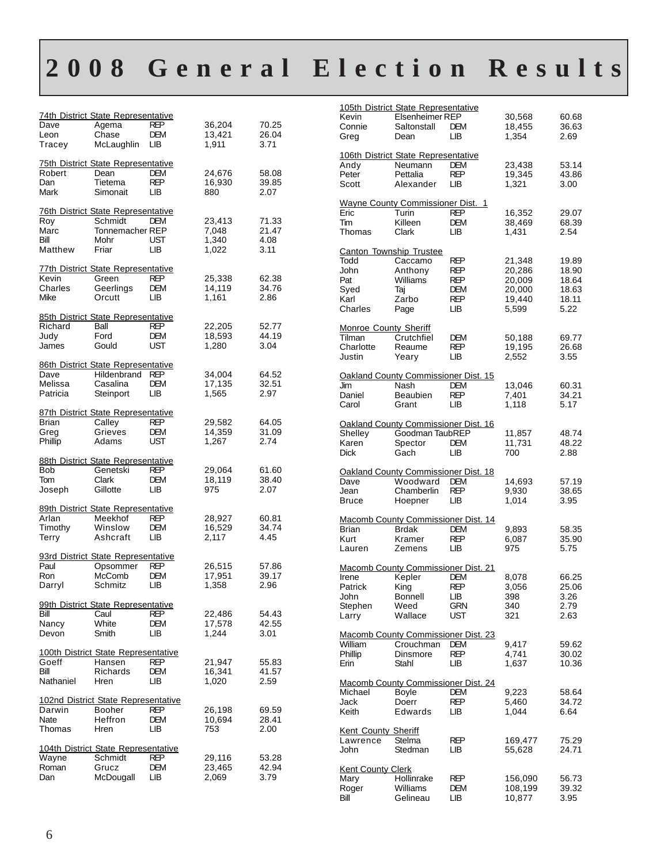## **2008 General Election Results**

|                 | 74th District State Representative                   |            |                  |                |
|-----------------|------------------------------------------------------|------------|------------------|----------------|
| Dave            | Agema                                                | <b>REP</b> | 36,204           | 70.25          |
| Leon            | Chase                                                | DEM        | 13,421           | 26.04          |
| Tracey          | McLaughlin                                           | LІВ        | 1,911            | 3.71           |
|                 | <b>75th District State Representative</b>            |            |                  |                |
| Robert          | Dean                                                 | DEM        | 24,676           | 58.08          |
| Dan             | Tietema                                              | <b>REP</b> | 16,930           | 39.85          |
| Mark            | Simonait                                             | LВ         | 880              | 2.07           |
|                 |                                                      |            |                  |                |
| Roy             | <b>76th District State Representative</b><br>Schmidt | <b>DEM</b> | 23,413           | 71.33          |
| Marc            | Tonnemacher REP                                      |            | 7,048            | 21.47          |
| Bill            | Mohr                                                 | UST        | 1,340            | 4.08           |
| Matthew         | Friar                                                | LIВ        | 1,022            | 3.11           |
|                 |                                                      |            |                  |                |
|                 | <u>77th District State Representative</u>            |            |                  |                |
| Kevin           | Green                                                | REP        | 25,338           | 62.38          |
| Charles         | Geerlings                                            | DEM        | 14,119           | 34.76          |
| Mike            | Orcutt                                               | LВ         | 1,161            | 2.86           |
|                 | 85th District State Representative                   |            |                  |                |
| Richard         | Ball                                                 | <b>REP</b> | 22,205           | 52.77          |
| Judy            | Ford                                                 | DEM        | 18,593           | 44.19          |
| James           | Gould                                                | UST        | 1,280            | 3.04           |
|                 |                                                      |            |                  |                |
|                 | 86th District State Representative                   |            |                  |                |
| Dave<br>Melissa | Hildenbrand<br>Casalina                              | REP<br>DEM | 34,004<br>17,135 | 64.52<br>32.51 |
| Patricia        | Steinport                                            | LІВ        | 1,565            | 2.97           |
|                 |                                                      |            |                  |                |
|                 | 87th District State Representative                   |            |                  |                |
| <b>Brian</b>    | Calley                                               | REP        | 29,582           | 64.05          |
| Greg            | Grieves                                              | DEM        | 14,359           | 31.09          |
| Phillip         | Adams                                                | UST        | 1,267            | 2.74           |
|                 | 88th District State Representative                   |            |                  |                |
| Bob             | Genetski                                             | REP        | 29,064           | 61.60          |
| Tom             | Clark                                                | DEM        | 18,119           | 38.40          |
| Joseph          | Gillotte                                             | LІВ        | 975              | 2.07           |
|                 |                                                      |            |                  |                |
|                 | 89th District State Representative                   |            |                  |                |
| Arlan           | Meekhof                                              | REP        | 28,927           | 60.81          |
| Timothy         | Winslow<br>Ashcraft                                  | DEM        | 16,529           | 34.74          |
| Terry           |                                                      | LІВ        | 2,117            | 4.45           |
|                 | 93rd District State Representative                   |            |                  |                |
| Paul            | Opsommer                                             | REP        | 26,515           | 57.86          |
| Ron             | McComb                                               | DEM        | 17,951           | 39.17          |
| Darryl          | Schmitz                                              | LІB        | 1,358            | 2.96           |
|                 |                                                      |            |                  |                |
| Bill            | 99th District State Representative<br>Caul           | REP        | 22,486           | 54.43          |
| Nancy           | White                                                | DEM        | 17,578           | 42.55          |
| Devon           | Smith                                                | LIВ        | 1,244            | 3.01           |
|                 |                                                      |            |                  |                |
|                 | 100th District State Representative                  |            |                  |                |
| Goeff           | Hansen                                               | REP        | 21,947           | 55.83          |
| Bill            | Richards                                             | DEM        | 16,341           | 41.57          |
| Nathaniel       | Hren                                                 | LВ         | 1,020            | 2.59           |
|                 | 102nd District State Representative                  |            |                  |                |
| Darwin          | Booher                                               | REP        | 26,198           | 69.59          |
| Nate            | Heffron                                              | DEM        | 10,694           | 28.41          |
| Thomas          |                                                      | LІВ        | 753              | 2.00           |
|                 | Hren                                                 |            |                  |                |
|                 |                                                      |            |                  |                |
|                 | 104th District State Representative                  |            |                  |                |
| Wayne           | Schmidt                                              | REP        | 29,116           | 53.28          |
| Roman<br>Dan    | Grucz<br>McDougall                                   | DEM<br>LІВ | 23,465<br>2,069  | 42.94<br>3.79  |

|                              | 105th District State Representative                   |            |                   |                |
|------------------------------|-------------------------------------------------------|------------|-------------------|----------------|
| Kevin                        | Elsenheimer REP                                       |            | 30,568            | 60.68          |
| Connie                       | Saltonstall                                           | <b>DEM</b> | 18,455            | 36.63          |
| Greg                         | Dean                                                  | LІВ        | 1,354             | 2.69           |
|                              |                                                       |            |                   |                |
|                              | 106th District State Representative<br><b>Neumann</b> | <b>DEM</b> |                   |                |
| Andy<br>Peter                |                                                       | <b>REP</b> | 23,438            | 53.14<br>43.86 |
| Scott                        | Pettalia<br>Alexander                                 | LІВ        | 19,345<br>1,321   | 3.00           |
|                              |                                                       |            |                   |                |
|                              | <b>Wayne County Commissioner Dist. 1</b>              |            |                   |                |
| Eric                         | Turin                                                 | REP        | 16,352            | 29.07          |
| Tim                          | Killeen                                               | DEM        | 38,469            | 68.39          |
| Thomas                       | Clark                                                 | LІВ        | 1,431             | 2.54           |
|                              |                                                       |            |                   |                |
| Canton Township Trustee      |                                                       |            |                   |                |
| Todd                         | Caccamo                                               | REP        | 21,348            | 19.89          |
| John                         | Anthony                                               | REP        | 20,286            | 18.90          |
| Pat                          | Williams                                              | REP        | 20,009            | 18.64          |
| Syed                         | Taj                                                   | DEM        | 20,000            | 18.63          |
| Karl                         | Zarbo                                                 | REP        | 19,440            | 18.11          |
| Charles                      | Page                                                  | LІВ        | 5,599             | 5.22           |
|                              |                                                       |            |                   |                |
| <b>Monroe County Sheriff</b> |                                                       |            |                   |                |
| Tilman                       | Crutchfiel                                            | DEM        | 50,188            | 69.77          |
| Charlotte                    | Reaume                                                | REP        | 19,195            | 26.68          |
| Justin                       | Yeary                                                 | LІВ        | 2,552             | 3.55           |
|                              |                                                       |            |                   |                |
|                              | Oakland County Commissioner Dist. 15                  |            |                   |                |
| Jim                          | Nash                                                  | DEM        | 13.046            | 60.31          |
| Daniel                       | Beaubien                                              | <b>REP</b> | 7,401             | 34.21          |
| Carol                        | Grant                                                 | LІB        | 1,118             | 5.17           |
|                              |                                                       |            |                   |                |
|                              | Oakland County Commissioner Dist. 16                  |            |                   |                |
| Shelley                      | Goodman TaubREP                                       |            | 11,857            | 48.74          |
| Karen                        | Spector                                               | <b>DEM</b> | 11,731            | 48.22          |
| <b>Dick</b>                  | Gach                                                  | LІB        | 700               | 2.88           |
|                              |                                                       |            |                   |                |
|                              | Oakland County Commissioner Dist. 18                  |            |                   |                |
| Dave                         | Woodward                                              | <b>DEM</b> | 14,693            | 57.19          |
| Jean                         | Chamberlin                                            | REP        | 9,930             | 38.65          |
| Bruce                        | Hoepner                                               | LІВ        | 1,014             | 3.95           |
|                              |                                                       |            |                   |                |
|                              | <b>Macomb County Commissioner Dist. 14</b>            |            |                   |                |
| Brian                        | <b>Brdak</b>                                          | <b>DEM</b> | 9,893             | 58.35          |
| Kurt                         | Kramer                                                | <b>REP</b> | 6,087             | 35.90          |
| Lauren                       | Zemens                                                | LІВ        | 975               | 5.75           |
|                              |                                                       |            |                   |                |
|                              | <b>Macomb County Commissioner Dist. 21</b>            |            |                   |                |
| Irene                        | Kepler                                                | <b>DEM</b> | 8,078             | 66.25          |
| Patrick                      | King                                                  | <b>REP</b> | 3,056             | 25.06          |
| John                         | Bonnell                                               | LВ         | 398               | 3.26           |
| Stephen                      | Weed                                                  | GRN        | 340               | 2.79           |
| Larry                        | Wallace                                               | UST        | 321               | 2.63           |
|                              |                                                       |            |                   |                |
|                              | Macomb County Commissioner Dist. 23                   |            |                   |                |
| William                      | Crouchman                                             | DEM        | 9,417             | 59.62          |
| Phillip                      | Dinsmore                                              | REP        | 4,741             | 30.02          |
| Erin                         | Stahl                                                 | LІВ        | 1,637             | 10.36          |
|                              |                                                       |            |                   |                |
|                              | <b>Macomb County Commissioner Dist. 24</b>            |            |                   |                |
| Michael                      | Boyle                                                 | DEM        | 9,223             | 58.64          |
| Jack                         | Doerr                                                 | REP        | 5,460             | 34.72          |
| Keith                        | Edwards                                               | LІВ        | 1,044             | 6.64           |
| <b>Kent County Sheriff</b>   |                                                       |            |                   |                |
|                              | Stelma                                                | REP        |                   |                |
| Lawrence<br>John             | Stedman                                               | LІВ        | 169,477<br>55,628 | 75.29          |
|                              |                                                       |            |                   | 24.71          |
| <b>Kent County Clerk</b>     |                                                       |            |                   |                |
| Mary                         | Hollinrake                                            | REP        | 156,090           | 56.73          |
| Roger                        | Williams                                              | DEM        | 108,199           | 39.32          |
| Bill                         | Gelineau                                              | LІВ        | 10,877            | 3.95           |
|                              |                                                       |            |                   |                |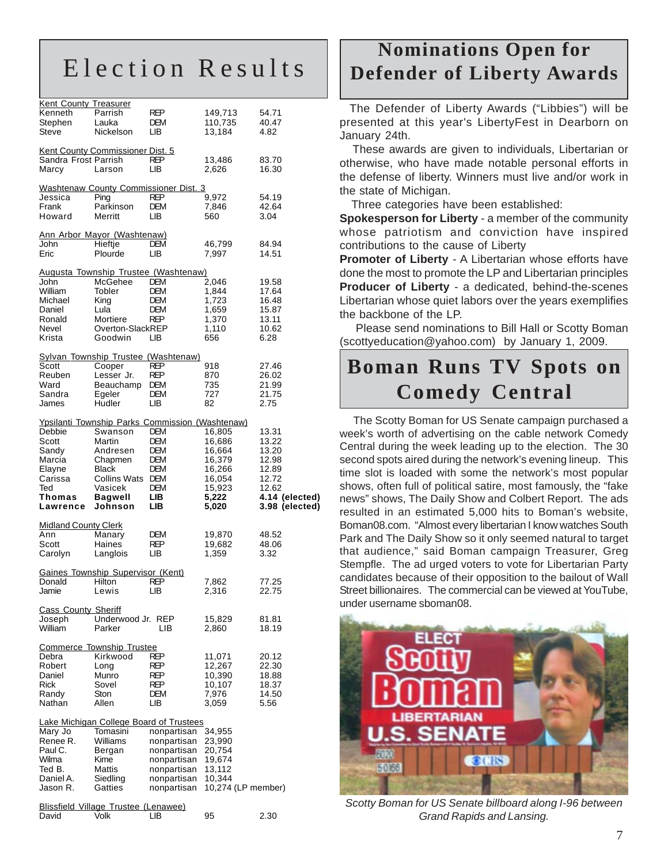## Election Results

| <b>Kent County Treasurer</b> |                                                        |             |                    |                |
|------------------------------|--------------------------------------------------------|-------------|--------------------|----------------|
| Kenneth                      | Parrish                                                | REP         | 149,713            | 54.71          |
|                              |                                                        |             |                    |                |
| Stephen                      | Lauka                                                  | DEM         | 110,735            | 40.47          |
| Steve                        | Nickelson                                              | LВ          | 13,184             | 4.82           |
|                              |                                                        |             |                    |                |
|                              | Kent County Commissioner Dist. 5                       |             |                    |                |
| Sandra Frost Parrish         |                                                        | REP         | 13,486             | 83.70          |
| Marcy                        | Larson                                                 | LВ          | 2,626              | 16.30          |
|                              |                                                        |             |                    |                |
|                              |                                                        |             |                    |                |
|                              | <b>Washtenaw County Commissioner Dist. 3</b>           |             |                    |                |
| Jessica                      | Ping                                                   | REP         | 9,972              | 54.19          |
| Frank                        | Parkinson                                              | <b>DEM</b>  | 7,846              | 42.64          |
| Howard                       | Merritt                                                | LІВ         | 560                | 3.04           |
|                              |                                                        |             |                    |                |
|                              |                                                        |             |                    |                |
|                              | Ann Arbor Mayor (Washtenaw)                            |             |                    |                |
| John                         | Hieftje                                                | <b>DEM</b>  | 46,799             | 84.94          |
| Eric                         | Plourde                                                | LІВ         | 7,997              | 14.51          |
|                              |                                                        |             |                    |                |
|                              | Augusta Township Trustee (Washtenaw)                   |             |                    |                |
| John                         | McGehee                                                | <b>DEM</b>  | 2,046              | 19.58          |
| William                      | Tobler                                                 |             |                    |                |
|                              |                                                        | DEM         | 1,844              | 17.64          |
| Michael                      | King                                                   | DEM         | 1,723              | 16.48          |
| Daniel                       | Lula                                                   | <b>DEM</b>  | 1,659              | 15.87          |
| Ronald                       | Mortiere                                               | <b>REP</b>  | 1,370              | 13.11          |
| Nevel                        | Overton-SlackREP                                       |             | 1,110              | 10.62          |
| Krista                       | Goodwin                                                | LІВ         | 656                | 6.28           |
|                              |                                                        |             |                    |                |
|                              |                                                        |             |                    |                |
|                              | <b>Sylvan Township Trustee (Washtenaw)</b>             |             |                    |                |
| Scott                        | Cooper                                                 | REP         | 918                | 27.46          |
| Reuben                       | Lesser Jr.                                             | REP         | 870                | 26.02          |
| Ward                         | Beauchamp                                              | <b>DEM</b>  | 735                | 21.99          |
| Sandra                       | Egeler                                                 | DEM         | 727                | 21.75          |
|                              |                                                        |             |                    |                |
| James                        | Hudler                                                 | LІВ         | 82                 | 2.75           |
|                              |                                                        |             |                    |                |
|                              | <b>Ypsilanti Township Parks Commission (Washtenaw)</b> |             |                    |                |
| Debbie                       | Swanson                                                | DEM         | 16,805             | 13.31          |
| Scott                        | Martin                                                 | DEM         | 16,686             | 13.22          |
| Sandy                        | Andresen                                               | DEM         | 16,664             | 13.20          |
|                              |                                                        |             |                    |                |
|                              |                                                        |             |                    |                |
| Marcia                       | Chapmen                                                | DEM         | 16,379             | 12.98          |
| Elayne                       | Black                                                  | DEM         | 16,266             | 12.89          |
| Carissa                      | <b>Collins Wats</b>                                    | <b>DEM</b>  | 16,054             | 12.72          |
| Ted                          | Vasicek                                                | DEM         |                    | 12.62          |
|                              |                                                        |             | 15,923             |                |
| Thomas                       | <b>Bagwell</b>                                         | LIB.        | 5,222              | 4.14 (elected) |
| Lawrence                     | Johnson                                                | LIB         | 5,020              | 3.98 (elected) |
|                              |                                                        |             |                    |                |
| <b>Midland County Clerk</b>  |                                                        |             |                    |                |
| Ann                          | Manary                                                 | DEM         | 19,870             | 48.52          |
| Scott                        | Haines                                                 | REP         | 19,682             | 48.06          |
|                              |                                                        |             |                    |                |
| Carolyn                      | Langlois                                               | LВ          | 1,359              | 3.32           |
|                              |                                                        |             |                    |                |
|                              | <b>Gaines Township Supervisor (Kent)</b>               |             |                    |                |
| Donaid                       | Hilton                                                 | κ⊵٢         | 7,862              | 77.25          |
| Jamie                        | Lewis                                                  | LВ          | 2,316              | 22.75          |
|                              |                                                        |             |                    |                |
|                              |                                                        |             |                    |                |
| <b>Cass County Sheriff</b>   |                                                        |             |                    |                |
| Joseph                       | Underwood Jr. REP                                      |             | 15,829             | 81.81          |
| William                      | Parker                                                 | LIB.        | 2,860              | 18.19          |
|                              |                                                        |             |                    |                |
|                              | <b>Commerce Township Trustee</b>                       |             |                    |                |
| Debra                        | Kirkwood                                               | REP         | 11,071             | 20.12          |
| Robert                       | Long                                                   | REP         | 12,267             | 22.30          |
| Daniel                       | Munro                                                  | REP         |                    | 18.88          |
|                              |                                                        |             | 10,390             |                |
| <b>Rick</b>                  | Sovel                                                  | REP         | 10,107             | 18.37          |
| Randy                        | Ston                                                   | DEM         | 7,976              | 14.50          |
| Nathan                       | Allen                                                  | LІВ         | 3,059              | 5.56           |
|                              |                                                        |             |                    |                |
|                              | <b>Lake Michigan College Board of Trustees</b>         |             |                    |                |
| Mary Jo                      | Tomasini                                               | nonpartisan | 34,955             |                |
|                              |                                                        |             |                    |                |
| Renee R.                     | Williams                                               | nonpartisan | 23,990             |                |
| Paul C.                      | Bergan                                                 | nonpartisan | 20,754             |                |
| Wilma                        | Kime                                                   | nonpartisan | 19,674             |                |
| Ted B.                       | Mattis                                                 | nonpartisan | 13,112             |                |
| Daniel A.                    | Siedling                                               | nonpartisan | 10,344             |                |
| Jason R.                     | Gatties                                                |             |                    |                |
|                              |                                                        | nonpartisan | 10,274 (LP member) |                |
|                              |                                                        |             |                    |                |
| David                        | <b>Blissfield Village Trustee (Lenawee)</b><br>Volk    | LІВ         | 95                 | 2.30           |

## **Nominations Open for Defender of Liberty Awards**

 The Defender of Liberty Awards ("Libbies") will be presented at this year's LibertyFest in Dearborn on January 24th.

 These awards are given to individuals, Libertarian or otherwise, who have made notable personal efforts in the defense of liberty. Winners must live and/or work in the state of Michigan.

Three categories have been established:

**Spokesperson for Liberty** - a member of the community whose patriotism and conviction have inspired contributions to the cause of Liberty

**Promoter of Liberty** - A Libertarian whose efforts have done the most to promote the LP and Libertarian principles **Producer of Liberty** - a dedicated, behind-the-scenes Libertarian whose quiet labors over the years exemplifies the backbone of the LP.

 Please send nominations to Bill Hall or Scotty Boman (scottyeducation@yahoo.com) by January 1, 2009.

## **Boman Runs TV Spots on Comedy Central**

 The Scotty Boman for US Senate campaign purchased a week's worth of advertising on the cable network Comedy Central during the week leading up to the election. The 30 second spots aired during the network's evening lineup. This time slot is loaded with some the network's most popular shows, often full of political satire, most famously, the "fake news" shows, The Daily Show and Colbert Report. The ads resulted in an estimated 5,000 hits to Boman's website, Boman08.com. "Almost every libertarian I know watches South Park and The Daily Show so it only seemed natural to target that audience," said Boman campaign Treasurer, Greg Stempfle. The ad urged voters to vote for Libertarian Party candidates because of their opposition to the bailout of Wall Street billionaires. The commercial can be viewed at YouTube, under username sboman08.



*Scotty Boman for US Senate billboard along I-96 between Grand Rapids and Lansing.*